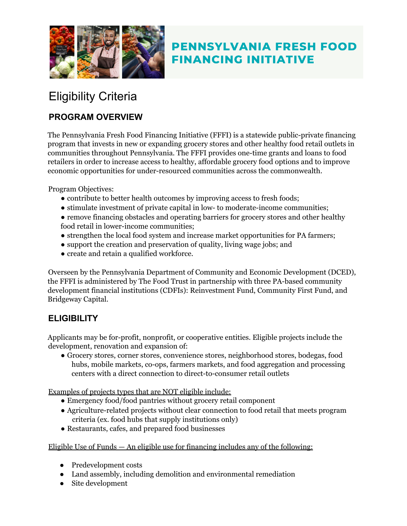

## **PENNSYLVANIA FRESH FOOD FINANCING INITIATIVE**

# Eligibility Criteria

## **PROGRAM OVERVIEW**

The Pennsylvania Fresh Food Financing Initiative (FFFI) is a statewide public-private financing program that invests in new or expanding grocery stores and other healthy food retail outlets in communities throughout Pennsylvania. The FFFI provides one-time grants and loans to food retailers in order to increase access to healthy, affordable grocery food options and to improve economic opportunities for under-resourced communities across the commonwealth.

Program Objectives:

- contribute to better health outcomes by improving access to fresh foods;
- stimulate investment of private capital in low- to moderate-income communities;
- remove financing obstacles and operating barriers for grocery stores and other healthy food retail in lower-income communities;
- strengthen the local food system and increase market opportunities for PA farmers;
- support the creation and preservation of quality, living wage jobs; and
- create and retain a qualified workforce.

Overseen by the Pennsylvania Department of Community and Economic Development (DCED), the FFFI is administered by The Food Trust in partnership with three PA-based community development financial institutions (CDFIs): Reinvestment Fund, Community First Fund, and Bridgeway Capital.

## **ELIGIBILITY**

Applicants may be for-profit, nonprofit, or cooperative entities. Eligible projects include the development, renovation and expansion of:

● Grocery stores, corner stores, convenience stores, neighborhood stores, bodegas, food hubs, mobile markets, co-ops, farmers markets, and food aggregation and processing centers with a direct connection to direct-to-consumer retail outlets

Examples of projects types that are NOT eligible include:

- Emergency food/food pantries without grocery retail component
- Agriculture-related projects without clear connection to food retail that meets program criteria (ex. food hubs that supply institutions only)
- Restaurants, cafes, and prepared food businesses

#### Eligible Use of Funds  $-$  An eligible use for financing includes any of the following:

- Predevelopment costs
- Land assembly, including demolition and environmental remediation
- Site development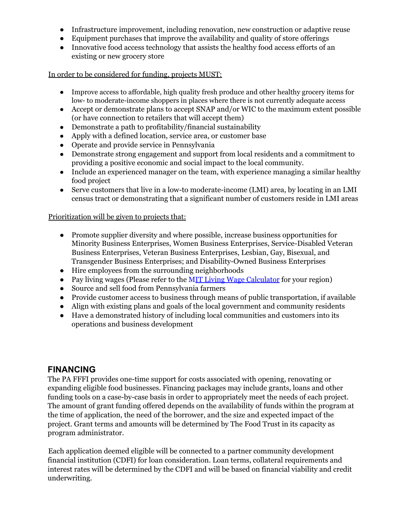- Infrastructure improvement, including renovation, new construction or adaptive reuse
- Equipment purchases that improve the availability and quality of store offerings
- Innovative food access technology that assists the healthy food access efforts of an existing or new grocery store

#### In order to be considered for funding, projects MUST:

- Improve access to affordable, high quality fresh produce and other healthy grocery items for low- to moderate-income shoppers in places where there is not currently adequate access
- Accept or demonstrate plans to accept SNAP and/or WIC to the maximum extent possible (or have connection to retailers that will accept them)
- Demonstrate a path to profitability/financial sustainability
- Apply with a defined location, service area, or customer base
- Operate and provide service in Pennsylvania
- Demonstrate strong engagement and support from local residents and a commitment to providing a positive economic and social impact to the local community.
- Include an experienced manager on the team, with experience managing a similar healthy food project
- Serve customers that live in a low-to moderate-income (LMI) area, by locating in an LMI census tract or demonstrating that a significant number of customers reside in LMI areas

#### Prioritization will be given to projects that:

- Promote supplier diversity and where possible, increase business opportunities for Minority Business Enterprises, Women Business Enterprises, Service-Disabled Veteran Business Enterprises, Veteran Business Enterprises, Lesbian, Gay, Bisexual, and Transgender Business Enterprises; and Disability-Owned Business Enterprises
- Hire employees from the surrounding neighborhoods
- Pay living wages (Please refer to the MIT Living Wage Calculator for your region)
- Source and sell food from Pennsylvania farmers
- Provide customer access to business through means of public transportation, if available
- Align with existing plans and goals of the local government and community residents
- Have a demonstrated history of including local communities and customers into its operations and business development

## **FINANCING**

The PA FFFI provides one-time support for costs associated with opening, renovating or expanding eligible food businesses. Financing packages may include grants, loans and other funding tools on a case-by-case basis in order to appropriately meet the needs of each project. The amount of grant funding offered depends on the availability of funds within the program at the time of application, the need of the borrower, and the size and expected impact of the project. Grant terms and amounts will be determined by The Food Trust in its capacity as program administrator.

Each application deemed eligible will be connected to a partner community development financial institution (CDFI) for loan consideration. Loan terms, collateral requirements and interest rates will be determined by the CDFI and will be based on financial viability and credit underwriting.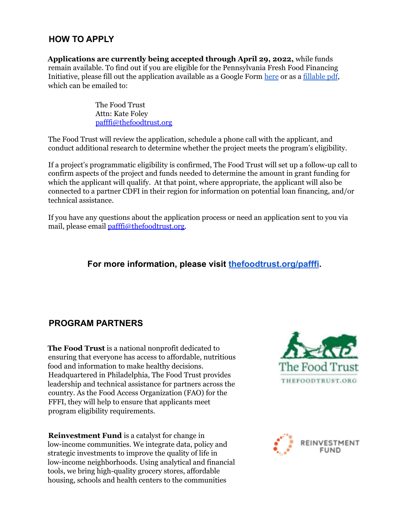## **HOW TO APPLY**

**Applications are currently being accepted through April 29, 2022,** while funds remain available. To find out if you are eligible for the Pennsylvania Fresh Food Financing Initiative, please fill out the application available as a Google Form [here](https://docs.google.com/forms/d/e/1FAIpQLSflhOEa7SC-WvPqkajcV2kns4gGO2aGp-1JigP6h7kOjEJbSA/viewform) or as a [fillable](http://thefoodtrust.org/uploads/media_items/pa-fffi-application-4-23-19-fillable-1.original.pdf) pdf, which can be emailed to:

> The Food Trust Attn: Kate Foley pafffi@thefoodtrust.org

The Food Trust will review the application, schedule a phone call with the applicant, and conduct additional research to determine whether the project meets the program's eligibility.

If a project's programmatic eligibility is confirmed, The Food Trust will set up a follow-up call to confirm aspects of the project and funds needed to determine the amount in grant funding for which the applicant will qualify. At that point, where appropriate, the applicant will also be connected to a partner CDFI in their region for information on potential loan financing, and/or technical assistance.

If you have any questions about the application process or need an application sent to you via mail, please email *pafffi@thefoodtrust.org*.

### **For more information, please visit [thefoodtrust.org/pafffi](http://thefoodtrust.org/pafffi).**

## **PROGRAM PARTNERS**

**The Food Trust** is a national nonprofit dedicated to ensuring that everyone has access to affordable, nutritious food and information to make healthy decisions. Headquartered in Philadelphia, The Food Trust provides leadership and technical assistance for partners across the country. As the Food Access Organization (FAO) for the FFFI, they will help to ensure that applicants meet program eligibility requirements.

**Reinvestment Fund** is a catalyst for change in low-income communities. We integrate data, policy and strategic investments to improve the quality of life in low-income neighborhoods. Using analytical and financial tools, we bring high-quality grocery stores, affordable housing, schools and health centers to the communities